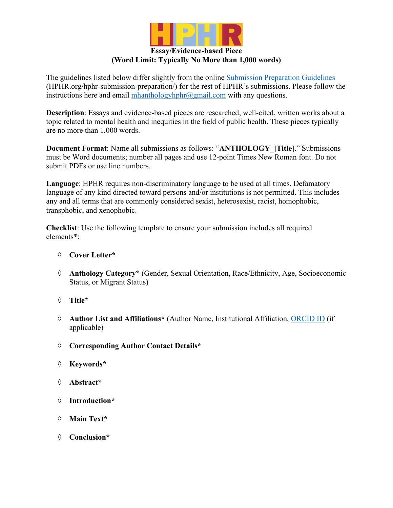

# **Essay/Evidence-based Piece (Word Limit: Typically No More than 1,000 words)**

The guidelines listed below differ slightly from the online Submission Preparation Guidelines (HPHR.org/hphr-submission-preparation/) for the rest of HPHR's submissions. Please follow the instructions here and email  $\frac{\text{mhanthology} \cdot \text{m} \cdot \text{m} \cdot \text{m} \cdot \text{m}}{m \cdot \text{m} \cdot \text{m} \cdot \text{m} \cdot \text{m} \cdot \text{m} \cdot \text{m} \cdot \text{m} \cdot \text{m} \cdot \text{m}}$  with any questions.

**Description**: Essays and evidence-based pieces are researched, well-cited, written works about a topic related to mental health and inequities in the field of public health. These pieces typically are no more than 1,000 words.

**Document Format**: Name all submissions as follows: "**ANTHOLOGY\_[Title]**." Submissions must be Word documents; number all pages and use 12-point Times New Roman font. Do not submit PDFs or use line numbers.

**Language**: HPHR requires non-discriminatory language to be used at all times. Defamatory language of any kind directed toward persons and/or institutions is not permitted. This includes any and all terms that are commonly considered sexist, heterosexist, racist, homophobic, transphobic, and xenophobic.

**Checklist**: Use the following template to ensure your submission includes all required elements\*:

- à **Cover Letter\***
- à **Anthology Category\*** (Gender, Sexual Orientation, Race/Ethnicity, Age, Socioeconomic Status, or Migrant Status)
- à **Title\***
- à **Author List and Affiliations\*** (Author Name, Institutional Affiliation, ORCID ID (if applicable)
- à **Corresponding Author Contact Details\***
- à **Keywords\***
- à **Abstract\***
- à **Introduction\***
- à **Main Text\***
- à **Conclusion\***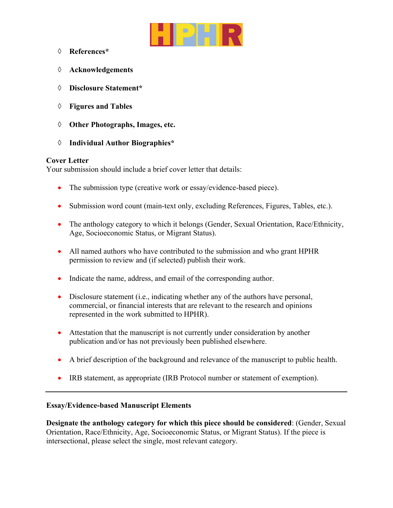

- à **References\***
- à **Acknowledgements**
- à **Disclosure Statement\***
- à **Figures and Tables**
- à **Other Photographs, Images, etc.**
- à **Individual Author Biographies\***

#### **Cover Letter**

Your submission should include a brief cover letter that details:

- The submission type (creative work or essay/evidence-based piece).
- Submission word count (main-text only, excluding References, Figures, Tables, etc.).
- The anthology category to which it belongs (Gender, Sexual Orientation, Race/Ethnicity, Age, Socioeconomic Status, or Migrant Status).
- All named authors who have contributed to the submission and who grant HPHR permission to review and (if selected) publish their work.
- Indicate the name, address, and email of the corresponding author.
- Disclosure statement (i.e., indicating whether any of the authors have personal, commercial, or financial interests that are relevant to the research and opinions represented in the work submitted to HPHR).
- Attestation that the manuscript is not currently under consideration by another publication and/or has not previously been published elsewhere.
- A brief description of the background and relevance of the manuscript to public health.
- IRB statement, as appropriate (IRB Protocol number or statement of exemption).

#### **Essay/Evidence-based Manuscript Elements**

**Designate the anthology category for which this piece should be considered**: (Gender, Sexual Orientation, Race/Ethnicity, Age, Socioeconomic Status, or Migrant Status). If the piece is intersectional, please select the single, most relevant category.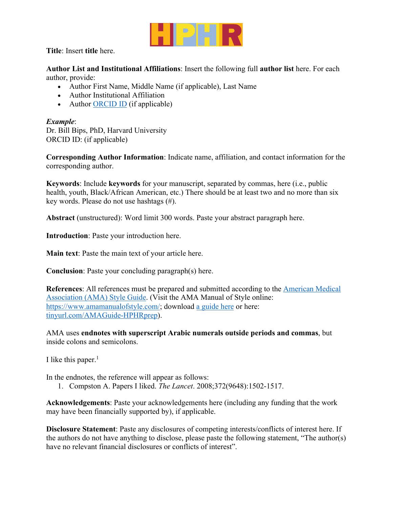

**Title**: Insert **title** here.

**Author List and Institutional Affiliations**: Insert the following full **author list** here. For each author, provide:

- Author First Name, Middle Name (if applicable), Last Name
- Author Institutional Affiliation
- Author ORCID ID (if applicable)

# *Example*:

Dr. Bill Bips, PhD, Harvard University ORCID ID: (if applicable)

**Corresponding Author Information**: Indicate name, affiliation, and contact information for the corresponding author.

**Keywords**: Include **keywords** for your manuscript, separated by commas, here (i.e., public health, youth, Black/African American, etc.) There should be at least two and no more than six key words. Please do not use hashtags (#).

**Abstract** (unstructured): Word limit 300 words. Paste your abstract paragraph here.

**Introduction**: Paste your introduction here.

**Main text**: Paste the main text of your article here.

**Conclusion**: Paste your concluding paragraph(s) here.

**References**: All references must be prepared and submitted according to the American Medical Association (AMA) Style Guide. (Visit the AMA Manual of Style online: https://www.amamanualofstyle.com/; download a guide here or here: tinyurl.com/AMAGuide-HPHRprep).

AMA uses **endnotes with superscript Arabic numerals outside periods and commas**, but inside colons and semicolons.

I like this paper. $<sup>1</sup>$ </sup>

In the endnotes, the reference will appear as follows:

1. Compston A. Papers I liked. *The Lancet*. 2008;372(9648):1502-1517.

**Acknowledgements**: Paste your acknowledgements here (including any funding that the work may have been financially supported by), if applicable.

**Disclosure Statement**: Paste any disclosures of competing interests/conflicts of interest here. If the authors do not have anything to disclose, please paste the following statement, "The author(s) have no relevant financial disclosures or conflicts of interest".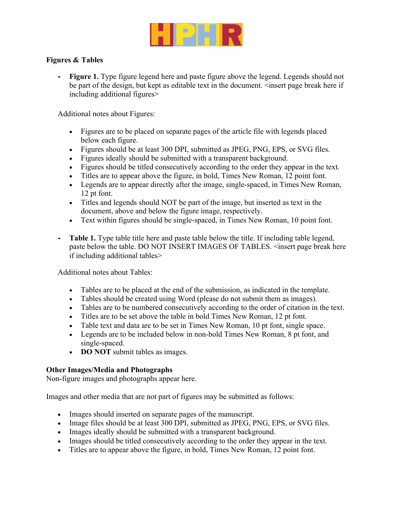

### **Figures & Tables**

**- Figure 1.** Type figure legend here and paste figure above the legend. Legends should not be part of the design, but kept as editable text in the document. <insert page break here if including additional figures>

Additional notes about Figures:

- Figures are to be placed on separate pages of the article file with legends placed below each figure.
- Figures should be at least 300 DPI, submitted as JPEG, PNG, EPS, or SVG files.
- Figures ideally should be submitted with a transparent background.
- Figures should be titled consecutively according to the order they appear in the text.
- Titles are to appear above the figure, in bold, Times New Roman, 12 point font.
- Legends are to appear directly after the image, single-spaced, in Times New Roman, 12 pt font.
- Titles and legends should NOT be part of the image, but inserted as text in the document, above and below the figure image, respectively.
- Text within figures should be single-spaced, in Times New Roman, 10 point font.
- **- Table 1.** Type table title here and paste table below the title. If including table legend, paste below the table. DO NOT INSERT IMAGES OF TABLES. <insert page break here if including additional tables>

Additional notes about Tables:

- Tables are to be placed at the end of the submission, as indicated in the template.
- Tables should be created using Word (please do not submit them as images).
- Tables are to be numbered consecutively according to the order of citation in the text.
- Titles are to be set above the table in bold Times New Roman, 12 pt font.
- Table text and data are to be set in Times New Roman, 10 pt font, single space.
- Legends are to be included below in non-bold Times New Roman, 8 pt font, and single-spaced.
- **DO NOT** submit tables as images.

#### **Other Images/Media and Photographs**

Non-figure images and photographs appear here.

Images and other media that are not part of figures may be submitted as follows:

- Images should inserted on separate pages of the manuscript.
- Image files should be at least 300 DPI, submitted as JPEG, PNG, EPS, or SVG files.
- Images ideally should be submitted with a transparent background.
- Images should be titled consecutively according to the order they appear in the text.
- Titles are to appear above the figure, in bold, Times New Roman, 12 point font.